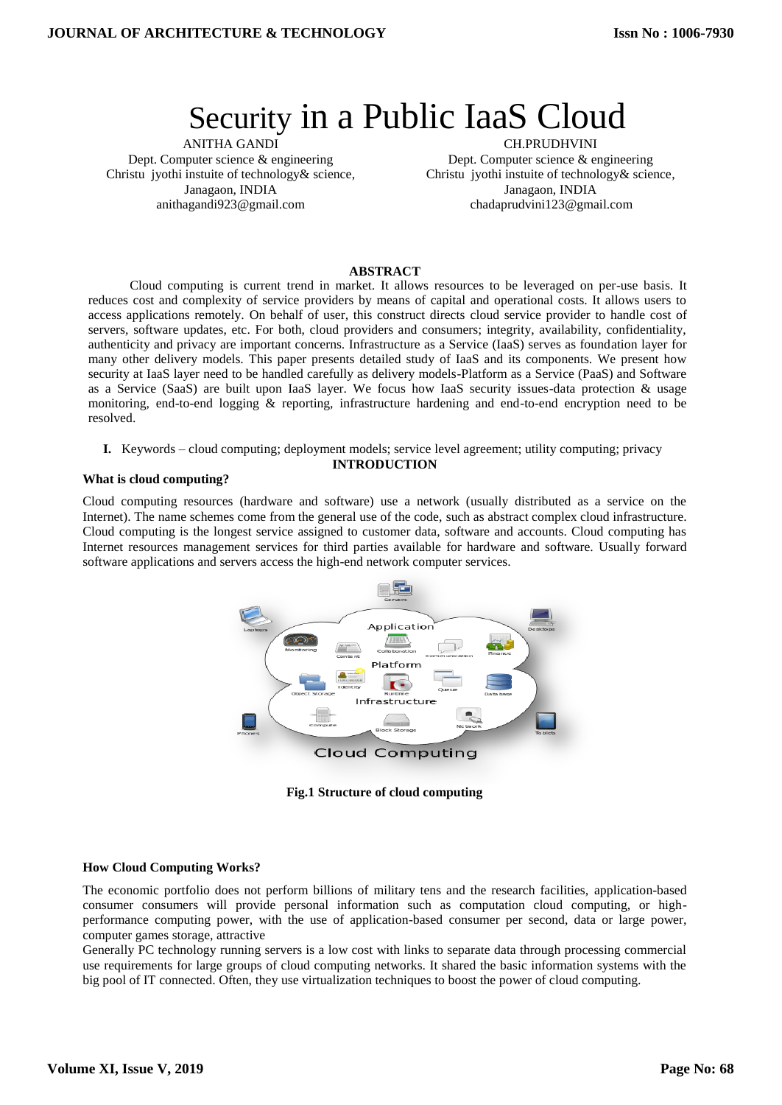# Security in a Public IaaS Cloud

ANITHA GANDI Dept. Computer science & engineering Christu jyothi instuite of technology& science, Janagaon, INDIA anithagandi923@gmail.com

CH.PRUDHVINI Dept. Computer science & engineering Christu jyothi instuite of technology& science, Janagaon, INDIA chadaprudvini123@gmail.com

# **ABSTRACT**

Cloud computing is current trend in market. It allows resources to be leveraged on per-use basis. It reduces cost and complexity of service providers by means of capital and operational costs. It allows users to access applications remotely. On behalf of user, this construct directs cloud service provider to handle cost of servers, software updates, etc. For both, cloud providers and consumers; integrity, availability, confidentiality, authenticity and privacy are important concerns. Infrastructure as a Service (IaaS) serves as foundation layer for many other delivery models. This paper presents detailed study of IaaS and its components. We present how security at IaaS layer need to be handled carefully as delivery models-Platform as a Service (PaaS) and Software as a Service (SaaS) are built upon IaaS layer. We focus how IaaS security issues-data protection & usage monitoring, end-to-end logging & reporting, infrastructure hardening and end-to-end encryption need to be resolved.

#### **I.** Keywords – cloud computing; deployment models; service level agreement; utility computing; privacy **INTRODUCTION**

### **What is cloud computing?**

Cloud computing resources (hardware and software) use a network (usually distributed as a service on the Internet). The name schemes come from the general use of the code, such as abstract complex cloud infrastructure. Cloud computing is the longest service assigned to customer data, software and accounts. Cloud computing has Internet resources management services for third parties available for hardware and software. Usually forward software applications and servers access the high-end network computer services.



**Fig.1 Structure of cloud computing**

# **How Cloud Computing Works?**

The economic portfolio does not perform billions of military tens and the research facilities, application-based consumer consumers will provide personal information such as computation cloud computing, or highperformance computing power, with the use of application-based consumer per second, data or large power, computer games storage, attractive

Generally PC technology running servers is a low cost with links to separate data through processing commercial use requirements for large groups of cloud computing networks. It shared the basic information systems with the big pool of IT connected. Often, they use virtualization techniques to boost the power of cloud computing.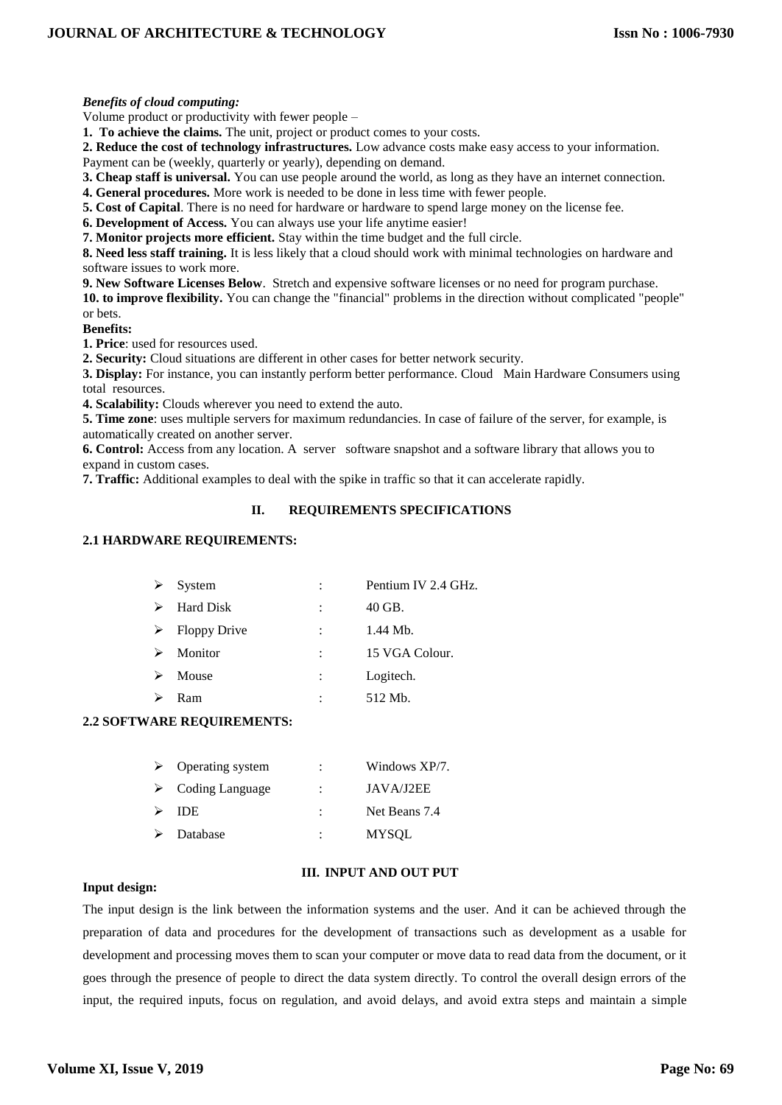# *Benefits of cloud computing:*

Volume product or productivity with fewer people –

**1. To achieve the claims.** The unit, project or product comes to your costs.

**2. Reduce the cost of technology infrastructures.** Low advance costs make easy access to your information.

Payment can be (weekly, quarterly or yearly), depending on demand.

**3. Cheap staff is universal.** You can use people around the world, as long as they have an internet connection.

**4. General procedures.** More work is needed to be done in less time with fewer people.

**5. Cost of Capital**. There is no need for hardware or hardware to spend large money on the license fee.

**6. Development of Access.** You can always use your life anytime easier!

**7. Monitor projects more efficient.** Stay within the time budget and the full circle.

**8. Need less staff training.** It is less likely that a cloud should work with minimal technologies on hardware and software issues to work more.

**9. New Software Licenses Below**. Stretch and expensive software licenses or no need for program purchase.

**10. to improve flexibility.** You can change the "financial" problems in the direction without complicated "people" or bets.

**Benefits:**

**1. Price**: used for resources used.

**2. Security:** Cloud situations are different in other cases for better network security.

**3. Display:** For instance, you can instantly perform better performance. Cloud Main Hardware Consumers using total resources.

**4. Scalability:** Clouds wherever you need to extend the auto.

**5. Time zone**: uses multiple servers for maximum redundancies. In case of failure of the server, for example, is automatically created on another server.

**6. Control:** Access from any location. A server software snapshot and a software library that allows you to expand in custom cases.

**7. Traffic:** Additional examples to deal with the spike in traffic so that it can accelerate rapidly.

# **II. REQUIREMENTS SPECIFICATIONS**

# **2.1 HARDWARE REQUIREMENTS:**

| ➤ | System              |                      | Pentium IV 2.4 GHz. |
|---|---------------------|----------------------|---------------------|
| ➤ | Hard Disk           |                      | 40 GB.              |
| ➤ | <b>Floppy Drive</b> | $\ddot{\phantom{a}}$ | 1.44 Mb.            |
| ➤ | Monitor             |                      | 15 VGA Colour.      |
| ➤ | Mouse               | $\ddot{\phantom{a}}$ | Logitech.           |
|   | Ram                 |                      | 512 Mb.             |

# **2.2 SOFTWARE REQUIREMENTS:**

|   | $\triangleright$ Operating system | ٠ | Windows XP/7. |
|---|-----------------------------------|---|---------------|
|   | $\triangleright$ Coding Language  |   | JAVA/J2EE     |
| ➤ | -IDE.                             |   | Net Beans 7.4 |
|   | $\triangleright$ Database         | ٠ | <b>MYSOL</b>  |

# **III. INPUT AND OUT PUT**

# **Input design:**

The input design is the link between the information systems and the user. And it can be achieved through the preparation of data and procedures for the development of transactions such as development as a usable for development and processing moves them to scan your computer or move data to read data from the document, or it goes through the presence of people to direct the data system directly. To control the overall design errors of the input, the required inputs, focus on regulation, and avoid delays, and avoid extra steps and maintain a simple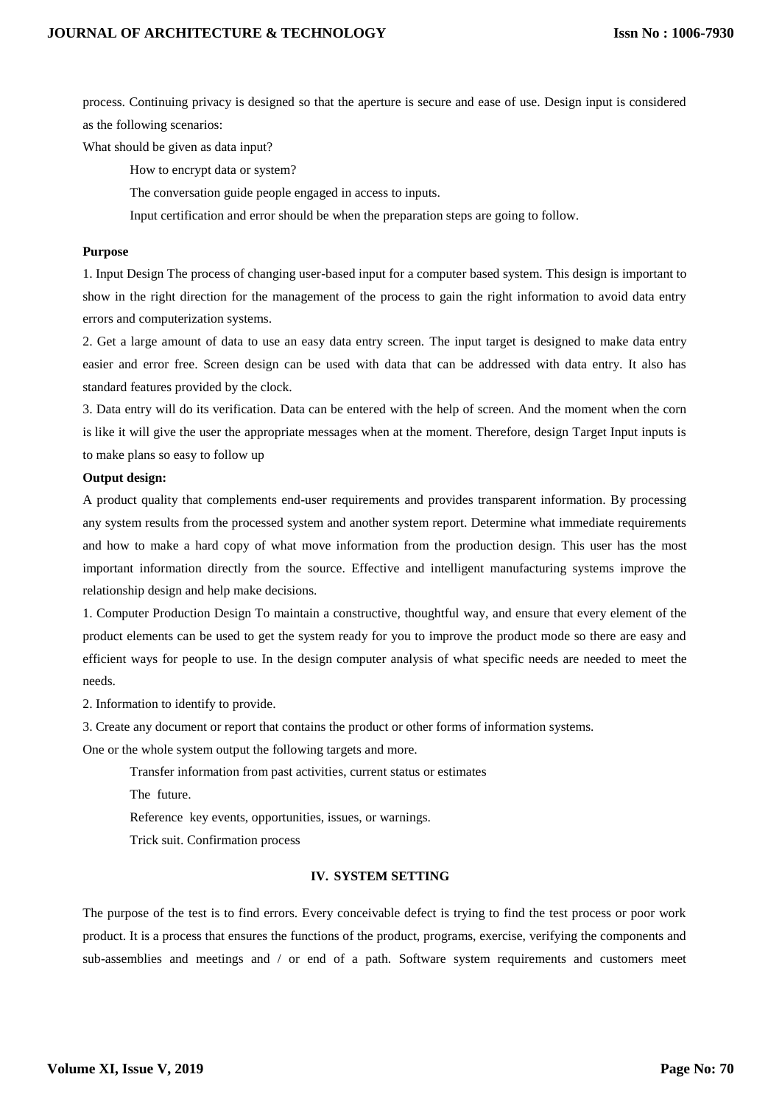process. Continuing privacy is designed so that the aperture is secure and ease of use. Design input is considered as the following scenarios:

What should be given as data input?

How to encrypt data or system?

The conversation guide people engaged in access to inputs.

Input certification and error should be when the preparation steps are going to follow.

# **Purpose**

1. Input Design The process of changing user-based input for a computer based system. This design is important to show in the right direction for the management of the process to gain the right information to avoid data entry errors and computerization systems.

2. Get a large amount of data to use an easy data entry screen. The input target is designed to make data entry easier and error free. Screen design can be used with data that can be addressed with data entry. It also has standard features provided by the clock.

3. Data entry will do its verification. Data can be entered with the help of screen. And the moment when the corn is like it will give the user the appropriate messages when at the moment. Therefore, design Target Input inputs is to make plans so easy to follow up

#### **Output design:**

A product quality that complements end-user requirements and provides transparent information. By processing any system results from the processed system and another system report. Determine what immediate requirements and how to make a hard copy of what move information from the production design. This user has the most important information directly from the source. Effective and intelligent manufacturing systems improve the relationship design and help make decisions.

1. Computer Production Design To maintain a constructive, thoughtful way, and ensure that every element of the product elements can be used to get the system ready for you to improve the product mode so there are easy and efficient ways for people to use. In the design computer analysis of what specific needs are needed to meet the needs.

2. Information to identify to provide.

3. Create any document or report that contains the product or other forms of information systems.

One or the whole system output the following targets and more.

Transfer information from past activities, current status or estimates

The future.

Reference key events, opportunities, issues, or warnings.

Trick suit. Confirmation process

#### **IV. SYSTEM SETTING**

The purpose of the test is to find errors. Every conceivable defect is trying to find the test process or poor work product. It is a process that ensures the functions of the product, programs, exercise, verifying the components and sub-assemblies and meetings and / or end of a path. Software system requirements and customers meet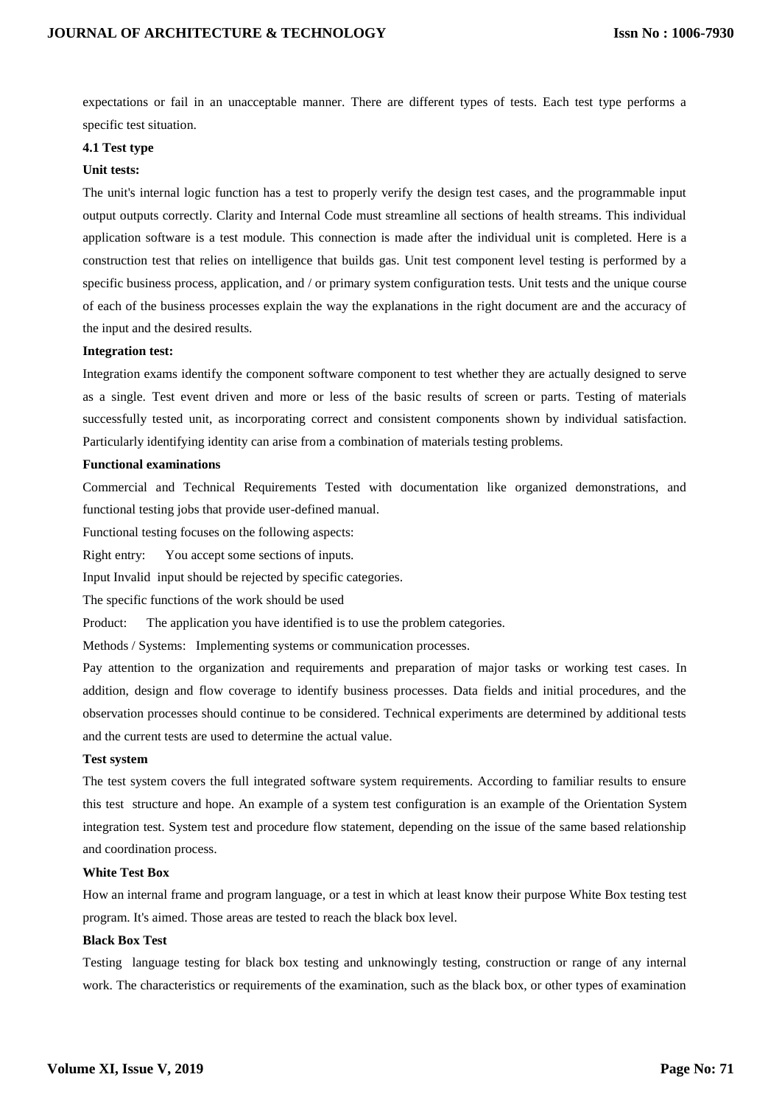expectations or fail in an unacceptable manner. There are different types of tests. Each test type performs a specific test situation.

#### **4.1 Test type**

#### **Unit tests:**

The unit's internal logic function has a test to properly verify the design test cases, and the programmable input output outputs correctly. Clarity and Internal Code must streamline all sections of health streams. This individual application software is a test module. This connection is made after the individual unit is completed. Here is a construction test that relies on intelligence that builds gas. Unit test component level testing is performed by a specific business process, application, and / or primary system configuration tests. Unit tests and the unique course of each of the business processes explain the way the explanations in the right document are and the accuracy of the input and the desired results.

#### **Integration test:**

Integration exams identify the component software component to test whether they are actually designed to serve as a single. Test event driven and more or less of the basic results of screen or parts. Testing of materials successfully tested unit, as incorporating correct and consistent components shown by individual satisfaction. Particularly identifying identity can arise from a combination of materials testing problems.

### **Functional examinations**

Commercial and Technical Requirements Tested with documentation like organized demonstrations, and functional testing jobs that provide user-defined manual.

Functional testing focuses on the following aspects:

Right entry: You accept some sections of inputs.

Input Invalid input should be rejected by specific categories.

The specific functions of the work should be used

Product: The application you have identified is to use the problem categories.

Methods / Systems: Implementing systems or communication processes.

Pay attention to the organization and requirements and preparation of major tasks or working test cases. In addition, design and flow coverage to identify business processes. Data fields and initial procedures, and the observation processes should continue to be considered. Technical experiments are determined by additional tests and the current tests are used to determine the actual value.

### **Test system**

The test system covers the full integrated software system requirements. According to familiar results to ensure this test structure and hope. An example of a system test configuration is an example of the Orientation System integration test. System test and procedure flow statement, depending on the issue of the same based relationship and coordination process.

#### **White Test Box**

How an internal frame and program language, or a test in which at least know their purpose White Box testing test program. It's aimed. Those areas are tested to reach the black box level.

## **Black Box Test**

Testing language testing for black box testing and unknowingly testing, construction or range of any internal work. The characteristics or requirements of the examination, such as the black box, or other types of examination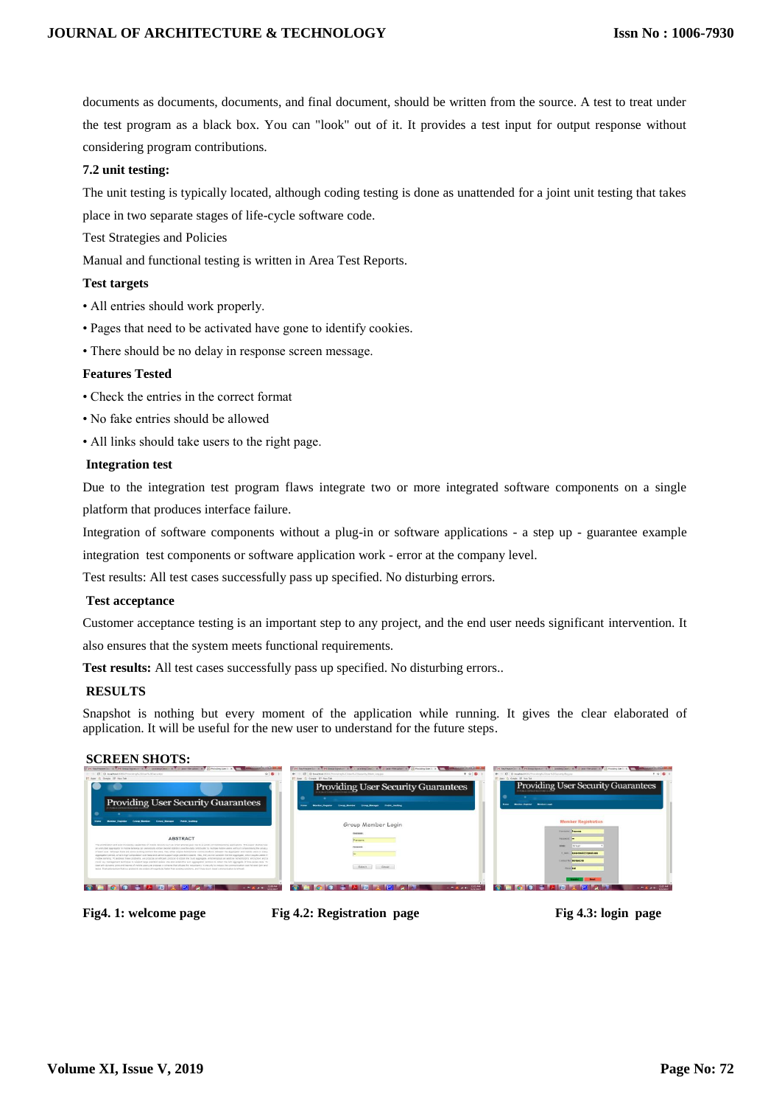documents as documents, documents, and final document, should be written from the source. A test to treat under the test program as a black box. You can "look" out of it. It provides a test input for output response without considering program contributions.

### **7.2 unit testing:**

The unit testing is typically located, although coding testing is done as unattended for a joint unit testing that takes place in two separate stages of life-cycle software code.

Test Strategies and Policies

Manual and functional testing is written in Area Test Reports.

### **Test targets**

- All entries should work properly.
- Pages that need to be activated have gone to identify cookies.
- There should be no delay in response screen message.

#### **Features Tested**

- Check the entries in the correct format
- No fake entries should be allowed
- All links should take users to the right page.

#### **Integration test**

Due to the integration test program flaws integrate two or more integrated software components on a single platform that produces interface failure.

Integration of software components without a plug-in or software applications - a step up - guarantee example integration test components or software application work - error at the company level.

Test results: All test cases successfully pass up specified. No disturbing errors.

#### **Test acceptance**

Customer acceptance testing is an important step to any project, and the end user needs significant intervention. It

also ensures that the system meets functional requirements.

**Test results:** All test cases successfully pass up specified. No disturbing errors..

#### **RESULTS**

Snapshot is nothing but every moment of the application while running. It gives the clear elaborated of application. It will be useful for the new user to understand for the future steps.

#### **SCREEN SHOTS:**

|                                                                                                                                                                                                                                                                                                                                                    | 1945 Ang Present Co., N. Y. Pri Group Separtur . N. Y. O. Undelete Cases, N.Y.  (and 1 Recupes). N.Y. Let Present United States in the Contract Contract Contract Contract Contract Con- | 24 Registrate St., N.Y. 24 Street Service: N.Y. O. Scalesgionics: N.Y. C. Service Christmas C. L. Previous Lives (1991) 12 New York Control Control Control Control Control Control Control Control Control Control Control Co                                                                                                                                                                                                    |
|----------------------------------------------------------------------------------------------------------------------------------------------------------------------------------------------------------------------------------------------------------------------------------------------------------------------------------------------------|------------------------------------------------------------------------------------------------------------------------------------------------------------------------------------------|-----------------------------------------------------------------------------------------------------------------------------------------------------------------------------------------------------------------------------------------------------------------------------------------------------------------------------------------------------------------------------------------------------------------------------------|
| $\bullet \bullet :$<br>CE  (D. tera Pend SOED Procedurals 20 hards 20 keys that                                                                                                                                                                                                                                                                    | <b>TOB</b><br>← C C Directed 505% Preventing fluid (see fluid Mann Legister                                                                                                              | <b>TOB</b> 1<br>4 - C C D teratived 600/2 controls (Store 120 pronts that no                                                                                                                                                                                                                                                                                                                                                      |
| Area D. Donale, 227 New Tel:                                                                                                                                                                                                                                                                                                                       | Ares G Coupe IIT New Tab                                                                                                                                                                 | Apex O Congle IIP New Tel:                                                                                                                                                                                                                                                                                                                                                                                                        |
|                                                                                                                                                                                                                                                                                                                                                    | <b>Providing User Security Guarantees</b>                                                                                                                                                | <b>Providing User Security Guarantees</b>                                                                                                                                                                                                                                                                                                                                                                                         |
| <b>Providing User Security Guarantees</b>                                                                                                                                                                                                                                                                                                          | Group Monday<br>Montant Houston<br><b>Talman Manager</b><br>Public Andrew                                                                                                                | Minister Sugaran Monday Logis<br><b>ISHING</b>                                                                                                                                                                                                                                                                                                                                                                                    |
| Public Auditors<br><b>Cross Menter</b><br><b>Cross Manager</b>                                                                                                                                                                                                                                                                                     | Group Member Login                                                                                                                                                                       | <b>Member Registration</b>                                                                                                                                                                                                                                                                                                                                                                                                        |
|                                                                                                                                                                                                                                                                                                                                                    |                                                                                                                                                                                          | <b><i><u>Innoversing</u></i> Presence</b>                                                                                                                                                                                                                                                                                                                                                                                         |
|                                                                                                                                                                                                                                                                                                                                                    |                                                                                                                                                                                          |                                                                                                                                                                                                                                                                                                                                                                                                                                   |
| <b>ABSTRACT</b>                                                                                                                                                                                                                                                                                                                                    | President                                                                                                                                                                                | <b>Bassages Tax</b>                                                                                                                                                                                                                                                                                                                                                                                                               |
| The profitedion and push increasing capabilities of motion devices wait as origit phones pus that to a vanish of transportion postcations. This sales blutes how<br>an unforcing aggregator in models beneficially completely comed statement purche data contributed by Huttans video, writing a series to represent the present                  | <b>Residents</b>                                                                                                                                                                         | <b>Street</b><br>Dress/                                                                                                                                                                                                                                                                                                                                                                                                           |
| of each user. Affiliate them are above evidencial both this area. They either require bidirections; contractications between the appreciation and moder users in every                                                                                                                                                                             |                                                                                                                                                                                          | <b>SUMMER REPAIRING TO CONSTRUCTION</b>                                                                                                                                                                                                                                                                                                                                                                                           |
| againgation period, whave hup-consistent coernead and cannot support terms planted separas. Also, they do not consider the Min aggregate, which journey useful in<br>mobile senang. To address these problems, we program an efficient protocol to color the Sum popmages, whichemotics an asiditive homomotoric encryption and a                  |                                                                                                                                                                                          | Contact Vol. 8476542216                                                                                                                                                                                                                                                                                                                                                                                                           |
| move has instructorient technical to buseout terge plainted agace. We also educative sum appreciation protocol to obtain the Min aggregate of time-series-carte, To<br>deal with company opins and banyos of mobile users we procede a scheme that utilizes the restuntancy in pecunto is reduce the communication cost for each lots and lots and |                                                                                                                                                                                          |                                                                                                                                                                                                                                                                                                                                                                                                                                   |
| leave. Exaluations for that our protocols are coders of reagedude faster than evidence solutions, and it has much linear communication (everyway).                                                                                                                                                                                                 | Solent Cancel                                                                                                                                                                            | <b>Pitcher County</b>                                                                                                                                                                                                                                                                                                                                                                                                             |
|                                                                                                                                                                                                                                                                                                                                                    |                                                                                                                                                                                          |                                                                                                                                                                                                                                                                                                                                                                                                                                   |
|                                                                                                                                                                                                                                                                                                                                                    |                                                                                                                                                                                          |                                                                                                                                                                                                                                                                                                                                                                                                                                   |
| $\mathbf{A} = \mathbf{A} + \mathbf{B}$                                                                                                                                                                                                                                                                                                             | $  \mathbf{K}$ or $\mathbf{t}$ . However,                                                                                                                                                | $\mathbf{A} = \frac{\mathbf{B}}{\mathbf{A}} \mathbf{A} + \mathbf{A} + \frac{\mathbf{B}}{\mathbf{A}} \mathbf{A} \mathbf{A} + \mathbf{B} \mathbf{A} \mathbf{A} \mathbf{A} + \mathbf{B} \mathbf{A} \mathbf{A} \mathbf{A} + \mathbf{B} \mathbf{A} \mathbf{A} \mathbf{A} + \mathbf{B} \mathbf{A} \mathbf{A} \mathbf{A} + \mathbf{B} \mathbf{A} \mathbf{A} \mathbf{A} + \mathbf{B} \mathbf{A} \mathbf{A} \mathbf{A} + \mathbf{B} \math$ |
|                                                                                                                                                                                                                                                                                                                                                    |                                                                                                                                                                                          |                                                                                                                                                                                                                                                                                                                                                                                                                                   |

**Fig4. 1: welcome page Fig 4.2: Registration page Fig 4.3: login page**